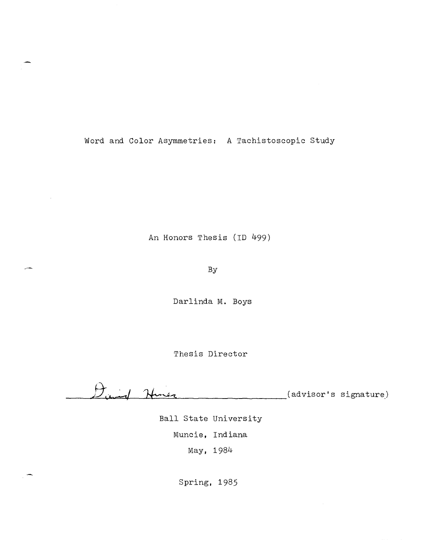Word and Color Asymmetries: A Tachistoscopic Study

An Honors Thesis (ID 499)

By

Darlinda M. Boys

Thesis Director

*Dund* Hiner (advisor's signature)

Ball State University Muncie, Indiana May, 1984

Spring, 1985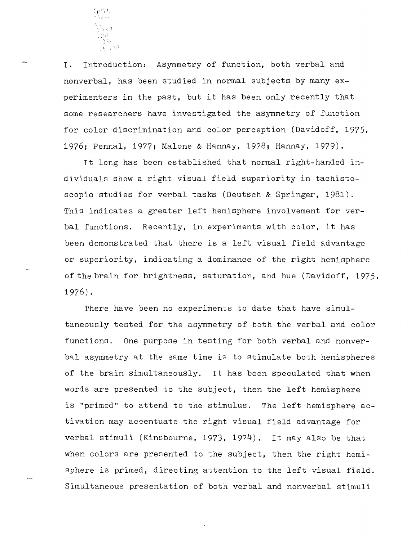

**I.** Introduction: Asymmetry of function, both verbal and nonverbal, has been studied in normal subjects by many experimenters in the past, but it has been only recently that some researchers have investigated the asymmetry of function for color discrimination and color perception (Davidoff, 1975, 1976; Pennal, 1977; Malone & Hannay, 1978; Hannay, 1979).

It long has been established that normal right-handed individuals show a right visual field superiority in tachistoscopio studies for verbal tasks (Deutsch & Springer, 1981). This indicates a greater left hemisphere involvement for verbal functions. Recently, in experiments with color, it has been demonstrated that there is a left visual field advantage or superiority, indicating a dominance of the right hemisphere of the brain for brightness, saturation, and hue (Davidoff, 1975, 1976) .

There have been no experiments to date that have simultaneously tested for the asymmetry of both the verbal and color functions. One purpose in testing for both verbal and nonverbal asymmetry at the same time is to stimulate both hemispheres of the brain simultaneously. It has been speculated that when words are presented to the subject, then the left hemisphere is "primed" to attend to the stimulus. The left hemisphere activation may accentuate the right visual field advantage for verbal stimuli (Kinsbourne, 1973, 1974). It may also be that when colors are presented to the subject, then the right hemisphere is primed, directing attention to the left visual field. Simultaneous presentation of both verbal and nonverbal stimuli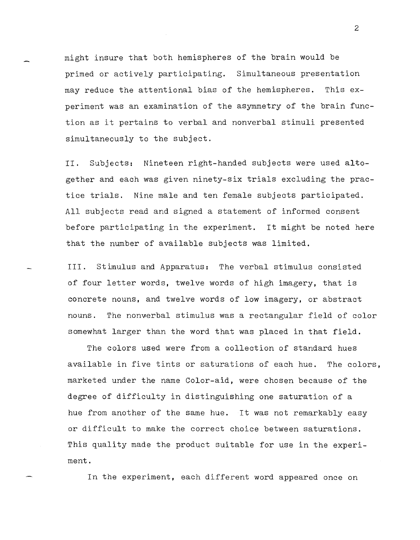might insure that both hemispheres of the brain would be primed or actively participating. Simultaneous presentation may reduce the attentional bias of the hemispheres. This experiment was an examination of the asymmetry of the brain function as it pertains to verbal and nonverbal stimuli presented simultaneously to the subject.

II. Subjects: Nineteen right-handed subjects were used altogether and. each was given ninety-six trials excluding the practice trials. Nine male and ten female subjects participated. All subjects read and signed a statement of informed consent before participating in the experiment. It might be noted here that the number of available subjects was limited.

III. Stimulus and Apparatus: The verbal stimulus consisted of four letter words, twelve words of high imagery, that is concrete nouns, and twelve words of low imagery, or abstract nouns. The nonverbal stimulus was a rectangular field of color somewhat larger than the word that was placed in that field.

The colors used were from a collection of standard hues available in five tints or saturations of each hue. The colors, marketed under the name Color-aid, were chosen because of the degree of difficulty in distinguishing one saturation of a hue from another of the same hue. It was not remarkably easy or difficult to make the correct choice between saturations. This quality made the product suitable for use in the experiment.

In the experiment, each different word appeared once on

2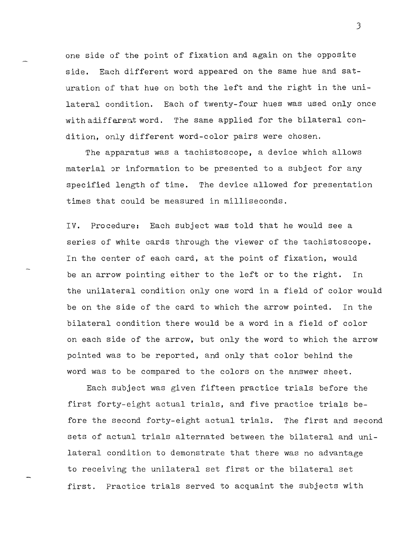one side of the point of fixation and again on the opposite side. Eaeh different word appeared on the same hue and saturation of that hue on both the left and the right in the unilateral condition. Each of twenty-four hues was used only once with adifferent word. The same applied for the bilateral condition, only different word-color pairs were chosen.

The apparatus was a tachistoscope, a device which allows material or information to be presented to a subject for any specified length of time. The device allowed for presentation times that could be measured in milliseconds.

IV. Procedure: Each subject was told that he would see a series of white cards through the viewer of the tachistoscope. In the center of each card, at the point of fixation, would be an arrow pointing either to the left or to the right. In the unilateral condition only one word in a field of color would be on the side of the card to which the arrow pointed. In the bilateral condition there would be a word in a field of color on each side of the arrow, but only the word to which the arrow pointed was to be reported, and only that color behind the word was to be compared to the colors on the answer sheet.

Each subject was given fifteen practice trials before the first forty-eight actual trials, and five practice trials before the second forty-eight actual trials. The first and second sets of actual trials alternated between the bilateral and unilateral condition to demonstrate that there was no advantage to receiving the unilateral set first or the bilateral set first. Practice trials served to acquaint the subjects with

3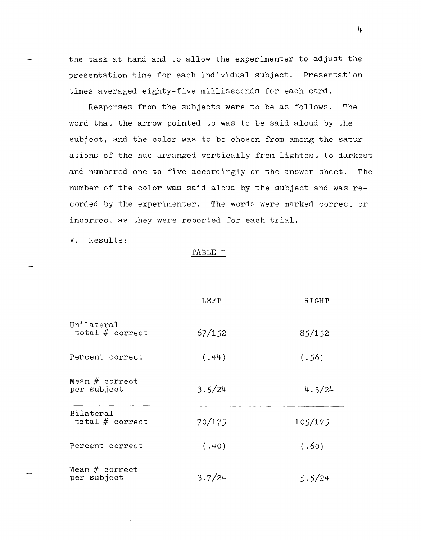the task at hand and to allow the experimenter to adjust the presentation time for each individual subject. Presentation times averaged eighty-five milliseconds for each card.

Responses from the subjects were to be as follows. The word that the arrow pointed to was to be said aloud by the subject, and the color was to be chosen from among the saturations of the hue arranged vertically from lightest to darkest and numbered one to five accordingly on the answer sheet. The number of the color was said aloud by the subject and was recorded by the experimenter. The words were marked correct or incorrect as they were reported for each trial.

V. Results:

## TABLE I

|                                       | LEFT   | RIGHT   |
|---------------------------------------|--------|---------|
| Unilateral<br>total $#$ correct       | 67/152 | 85/152  |
| Percent correct                       | (.44)  | (.56)   |
| Mean $#$ correct<br>per subject       | 3.5/24 | 4.5/24  |
| <b>Bilateral</b><br>total $#$ correct | 70/175 | 105/175 |
| Percent correct                       | (.40)  | (.60)   |
| Mean $#$ correct<br>per subject       | 3.7/24 | 5.5/24  |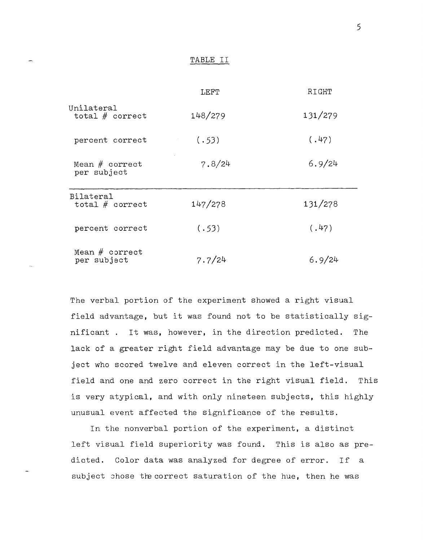## TABLE II

|                                 | LEFT    | RIGHT   |
|---------------------------------|---------|---------|
| Unilateral<br>total $#$ correct | 148/279 | 131/279 |
| percent correct                 | (.53)   | (.47)   |
| Mean $#$ correct<br>per subject | 7.8/24  | 6.9/24  |
| Bilateral<br>total $#$ correct  | 147/278 | 131/278 |
| percent correct                 | (.53)   | (.47)   |
| Mean $#$ correct<br>per subject | 7.7/24  | 6.9/24  |

The verbal portion of the experiment showed a right visual field advantage, but it was found not to be statistically significant. It was, however, in the direction predicted. The lack of a greater right field advantage may be due to one subject who scored twelve and eleven correct in the left-visual field and one and zero correct in the right visual field. This is very atypical, and with only nineteen subjects, this highly unusual event affected the significance of the results.

In the nonverbal portion of the experiment, a distinct left visual field superiority was found. This is also as predicted. Color data was analyzed for degree of error. If a subject chose the correct saturation of the hue, then he was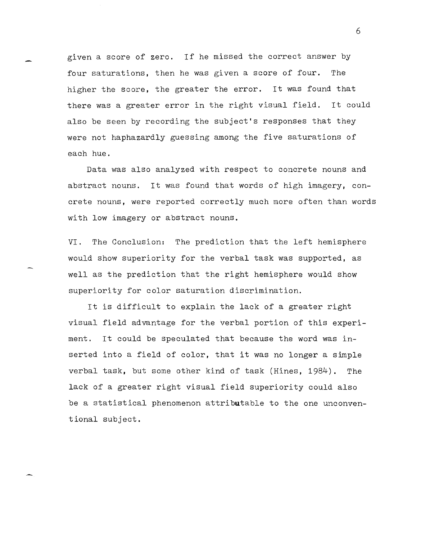given a score of zero. If he missed the correct answer by four saturations, then he was given a score of four. The higher the score, the greater the error. It was found that there was a greater error in the right visual field. It could also be seen by recording the subject's responses that they were not haphazardly guessing among the five saturations of each hue.

Data was also analyzed with respect to concrete nouns and abstract nouns. It was found that words of high imagery, concrete nouns, were reported correctly much more often than words with low imagery or abstract nouns.

VI. The Conclusion: The prediction that the left hemisphere would show superiority for the verbal task was supported, as well as the prediction that the right hemisphere would show superiority for color saturation discrimination.

It is difficult to explain the lack of a greater right visual field advantage for the verbal portion of this experiment. It could be speculated that because the word was inserted into a field of color, that it was no longer a simple verbal task, but some other kind of task (Hines, 1984). The lack of a greater right visual field superiority could also be a statistical phenomenon attributable to the one unconventional subject.

6